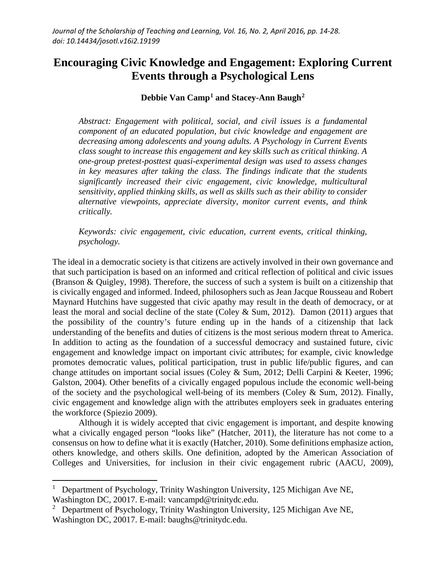# **Encouraging Civic Knowledge and Engagement: Exploring Current Events through a Psychological Lens**

## **Debbie Van Camp[1](#page-0-0) and Stacey-Ann Baugh[2](#page-0-1)**

*Abstract: Engagement with political, social, and civil issues is a fundamental component of an educated population, but civic knowledge and engagement are decreasing among adolescents and young adults. A Psychology in Current Events class sought to increase this engagement and key skills such as critical thinking. A one-group pretest-posttest quasi-experimental design was used to assess changes in key measures after taking the class. The findings indicate that the students significantly increased their civic engagement, civic knowledge, multicultural sensitivity, applied thinking skills, as well as skills such as their ability to consider alternative viewpoints, appreciate diversity, monitor current events, and think critically.*

*Keywords: civic engagement, civic education, current events, critical thinking, psychology.*

The ideal in a democratic society is that citizens are actively involved in their own governance and that such participation is based on an informed and critical reflection of political and civic issues (Branson & Quigley, 1998). Therefore, the success of such a system is built on a citizenship that is civically engaged and informed. Indeed, philosophers such as Jean Jacque Rousseau and Robert Maynard Hutchins have suggested that civic apathy may result in the death of democracy, or at least the moral and social decline of the state (Coley & Sum, 2012). Damon (2011) argues that the possibility of the country's future ending up in the hands of a citizenship that lack understanding of the benefits and duties of citizens is the most serious modern threat to America. In addition to acting as the foundation of a successful democracy and sustained future, civic engagement and knowledge impact on important civic attributes; for example, civic knowledge promotes democratic values, political participation, trust in public life/public figures, and can change attitudes on important social issues (Coley & Sum, 2012; Delli Carpini & Keeter, 1996; Galston, 2004). Other benefits of a civically engaged populous include the economic well-being of the society and the psychological well-being of its members (Coley & Sum, 2012). Finally, civic engagement and knowledge align with the attributes employers seek in graduates entering the workforce (Spiezio 2009).

Although it is widely accepted that civic engagement is important, and despite knowing what a civically engaged person "looks like" (Hatcher, 2011), the literature has not come to a consensus on how to define what it is exactly (Hatcher, 2010). Some definitions emphasize action, others knowledge, and others skills. One definition, adopted by the American Association of Colleges and Universities, for inclusion in their civic engagement rubric (AACU, 2009),

 $\overline{\phantom{a}}$ 

<span id="page-0-0"></span><sup>&</sup>lt;sup>1</sup> Department of Psychology, Trinity Washington University, 125 Michigan Ave NE, Washington DC, 20017. E-mail: vancampd@trinitydc.edu.

<span id="page-0-1"></span><sup>&</sup>lt;sup>2</sup> Department of Psychology, Trinity Washington University, 125 Michigan Ave NE, Washington DC, 20017. E-mail: baughs@trinitydc.edu.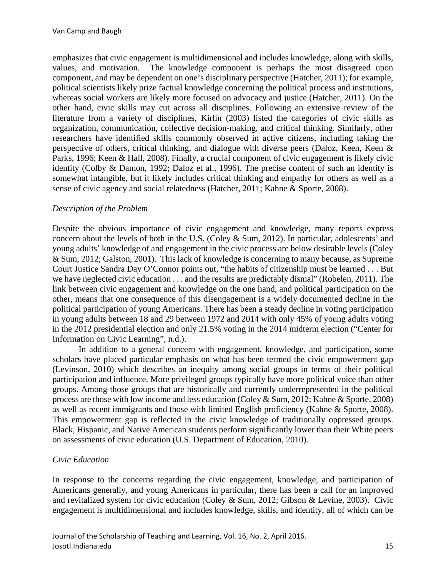emphasizes that civic engagement is multidimensional and includes knowledge, along with skills, values, and motivation. The knowledge component is perhaps the most disagreed upon component, and may be dependent on one's disciplinary perspective (Hatcher, 2011); for example, political scientists likely prize factual knowledge concerning the political process and institutions, whereas social workers are likely more focused on advocacy and justice (Hatcher, 2011). On the other hand, civic skills may cut across all disciplines. Following an extensive review of the literature from a variety of disciplines, Kirlin (2003) listed the categories of civic skills as organization, communication, collective decision-making, and critical thinking. Similarly, other researchers have identified skills commonly observed in active citizens, including taking the perspective of others, critical thinking, and dialogue with diverse peers (Daloz, Keen, Keen & Parks, 1996; Keen & Hall, 2008). Finally, a crucial component of civic engagement is likely civic identity (Colby & Damon, 1992; Daloz et al., 1996). The precise content of such an identity is somewhat intangible, but it likely includes critical thinking and empathy for others as well as a sense of civic agency and social relatedness (Hatcher, 2011; Kahne & Sporte, 2008).

#### *Description of the Problem*

Despite the obvious importance of civic engagement and knowledge, many reports express concern about the levels of both in the U.S. (Coley & Sum, 2012). In particular, adolescents' and young adults' knowledge of and engagement in the civic process are below desirable levels (Coley & Sum, 2012; Galston, 2001). This lack of knowledge is concerning to many because, as Supreme Court Justice Sandra Day O'Connor points out, "the habits of citizenship must be learned . . . But we have neglected civic education . . . and the results are predictably dismal" (Robelen, 2011). The link between civic engagement and knowledge on the one hand, and political participation on the other, means that one consequence of this disengagement is a widely documented decline in the political participation of young Americans. There has been a steady decline in voting participation in young adults between 18 and 29 between 1972 and 2014 with only 45% of young adults voting in the 2012 presidential election and only 21.5% voting in the 2014 midterm election ("Center for Information on Civic Learning", n.d.).

In addition to a general concern with engagement, knowledge, and participation, some scholars have placed particular emphasis on what has been termed the civic empowerment gap (Levinson, 2010) which describes an inequity among social groups in terms of their political participation and influence. More privileged groups typically have more political voice than other groups. Among those groups that are historically and currently underrepresented in the political process are those with low income and less education (Coley & Sum, 2012; Kahne & Sporte, 2008) as well as recent immigrants and those with limited English proficiency (Kahne & Sporte, 2008). This empowerment gap is reflected in the civic knowledge of traditionally oppressed groups. Black, Hispanic, and Native American students perform significantly lower than their White peers on assessments of civic education (U.S. Department of Education, 2010).

#### *Civic Education*

In response to the concerns regarding the civic engagement, knowledge, and participation of Americans generally, and young Americans in particular, there has been a call for an improved and revitalized system for civic education (Coley & Sum, 2012; Gibson & Levine, 2003). Civic engagement is multidimensional and includes knowledge, skills, and identity, all of which can be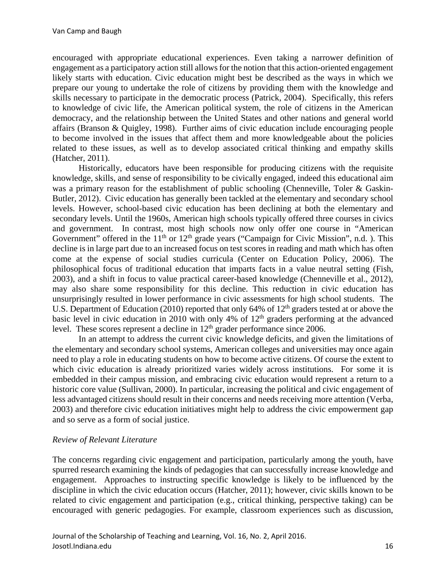encouraged with appropriate educational experiences. Even taking a narrower definition of engagement as a participatory action still allows for the notion that this action-oriented engagement likely starts with education. Civic education might best be described as the ways in which we prepare our young to undertake the role of citizens by providing them with the knowledge and skills necessary to participate in the democratic process (Patrick, 2004). Specifically, this refers to knowledge of civic life, the American political system, the role of citizens in the American democracy, and the relationship between the United States and other nations and general world affairs (Branson & Quigley, 1998). Further aims of civic education include encouraging people to become involved in the issues that affect them and more knowledgeable about the policies related to these issues, as well as to develop associated critical thinking and empathy skills (Hatcher, 2011).

Historically, educators have been responsible for producing citizens with the requisite knowledge, skills, and sense of responsibility to be civically engaged, indeed this educational aim was a primary reason for the establishment of public schooling (Chenneville, Toler & Gaskin-Butler, 2012). Civic education has generally been tackled at the elementary and secondary school levels. However, school-based civic education has been declining at both the elementary and secondary levels. Until the 1960s, American high schools typically offered three courses in civics and government. In contrast, most high schools now only offer one course in "American Government" offered in the  $11<sup>th</sup>$  or  $12<sup>th</sup>$  grade years ("Campaign for Civic Mission", n.d. ). This decline is in large part due to an increased focus on test scores in reading and math which has often come at the expense of social studies curricula (Center on Education Policy, 2006). The philosophical focus of traditional education that imparts facts in a value neutral setting (Fish, 2003), and a shift in focus to value practical career-based knowledge (Chenneville et al., 2012), may also share some responsibility for this decline. This reduction in civic education has unsurprisingly resulted in lower performance in civic assessments for high school students. The U.S. Department of Education (2010) reported that only 64% of  $12<sup>th</sup>$  graders tested at or above the basic level in civic education in 2010 with only 4% of  $12<sup>th</sup>$  graders performing at the advanced level. These scores represent a decline in  $12<sup>th</sup>$  grader performance since 2006.

In an attempt to address the current civic knowledge deficits, and given the limitations of the elementary and secondary school systems, American colleges and universities may once again need to play a role in educating students on how to become active citizens. Of course the extent to which civic education is already prioritized varies widely across institutions. For some it is embedded in their campus mission, and embracing civic education would represent a return to a historic core value (Sullivan, 2000). In particular, increasing the political and civic engagement of less advantaged citizens should result in their concerns and needs receiving more attention (Verba, 2003) and therefore civic education initiatives might help to address the civic empowerment gap and so serve as a form of social justice.

#### *Review of Relevant Literature*

The concerns regarding civic engagement and participation, particularly among the youth, have spurred research examining the kinds of pedagogies that can successfully increase knowledge and engagement. Approaches to instructing specific knowledge is likely to be influenced by the discipline in which the civic education occurs (Hatcher, 2011); however, civic skills known to be related to civic engagement and participation (e.g., critical thinking, perspective taking) can be encouraged with generic pedagogies. For example, classroom experiences such as discussion,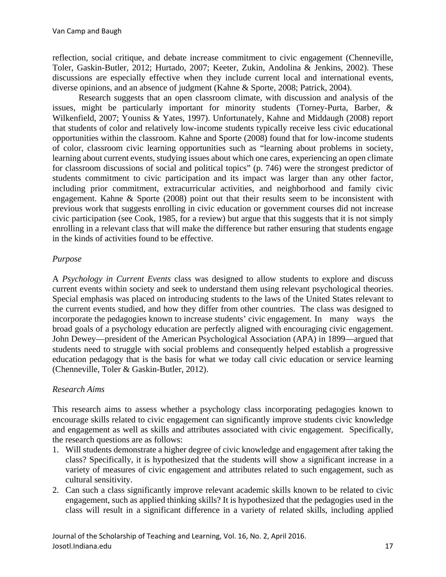reflection, social critique, and debate increase commitment to civic engagement (Chenneville, Toler, Gaskin-Butler, 2012; Hurtado, 2007; Keeter, Zukin, Andolina & Jenkins, 2002). These discussions are especially effective when they include current local and international events, diverse opinions, and an absence of judgment (Kahne & Sporte, 2008; Patrick, 2004).

Research suggests that an open classroom climate, with discussion and analysis of the issues, might be particularly important for minority students (Torney-Purta, Barber, & Wilkenfield, 2007; Youniss & Yates, 1997). Unfortunately, Kahne and Middaugh (2008) report that students of color and relatively low-income students typically receive less civic educational opportunities within the classroom. Kahne and Sporte (2008) found that for low-income students of color, classroom civic learning opportunities such as "learning about problems in society, learning about current events, studying issues about which one cares, experiencing an open climate for classroom discussions of social and political topics" (p. 746) were the strongest predictor of students commitment to civic participation and its impact was larger than any other factor, including prior commitment, extracurricular activities, and neighborhood and family civic engagement. Kahne & Sporte (2008) point out that their results seem to be inconsistent with previous work that suggests enrolling in civic education or government courses did not increase civic participation (see Cook, 1985, for a review) but argue that this suggests that it is not simply enrolling in a relevant class that will make the difference but rather ensuring that students engage in the kinds of activities found to be effective.

# *Purpose*

A *Psychology in Current Events* class was designed to allow students to explore and discuss current events within society and seek to understand them using relevant psychological theories. Special emphasis was placed on introducing students to the laws of the United States relevant to the current events studied, and how they differ from other countries. The class was designed to incorporate the pedagogies known to increase students' civic engagement. In many ways the broad goals of a psychology education are perfectly aligned with encouraging civic engagement. John Dewey—president of the American Psychological Association (APA) in 1899—argued that students need to struggle with social problems and consequently helped establish a progressive education pedagogy that is the basis for what we today call civic education or service learning (Chenneville, Toler & Gaskin-Butler, 2012).

## *Research Aims*

This research aims to assess whether a psychology class incorporating pedagogies known to encourage skills related to civic engagement can significantly improve students civic knowledge and engagement as well as skills and attributes associated with civic engagement. Specifically, the research questions are as follows:

- 1. Will students demonstrate a higher degree of civic knowledge and engagement after taking the class? Specifically, it is hypothesized that the students will show a significant increase in a variety of measures of civic engagement and attributes related to such engagement, such as cultural sensitivity.
- 2. Can such a class significantly improve relevant academic skills known to be related to civic engagement, such as applied thinking skills? It is hypothesized that the pedagogies used in the class will result in a significant difference in a variety of related skills, including applied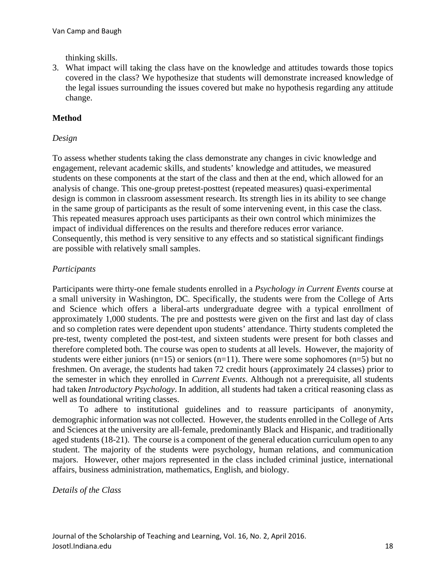thinking skills.

3. What impact will taking the class have on the knowledge and attitudes towards those topics covered in the class? We hypothesize that students will demonstrate increased knowledge of the legal issues surrounding the issues covered but make no hypothesis regarding any attitude change.

## **Method**

#### *Design*

To assess whether students taking the class demonstrate any changes in civic knowledge and engagement, relevant academic skills, and students' knowledge and attitudes, we measured students on these components at the start of the class and then at the end, which allowed for an analysis of change. This one-group pretest-posttest (repeated measures) quasi-experimental design is common in classroom assessment research. Its strength lies in its ability to see change in the same group of participants as the result of some intervening event, in this case the class. This repeated measures approach uses participants as their own control which minimizes the impact of individual differences on the results and therefore reduces error variance. Consequently, this method is very sensitive to any effects and so statistical significant findings are possible with relatively small samples.

#### *Participants*

Participants were thirty-one female students enrolled in a *Psychology in Current Events* course at a small university in Washington, DC. Specifically, the students were from the College of Arts and Science which offers a liberal-arts undergraduate degree with a typical enrollment of approximately 1,000 students. The pre and posttests were given on the first and last day of class and so completion rates were dependent upon students' attendance. Thirty students completed the pre-test, twenty completed the post-test, and sixteen students were present for both classes and therefore completed both. The course was open to students at all levels. However, the majority of students were either juniors (n=15) or seniors (n=11). There were some sophomores (n=5) but no freshmen. On average, the students had taken 72 credit hours (approximately 24 classes) prior to the semester in which they enrolled in *Current Events*. Although not a prerequisite, all students had taken *Introductory Psychology*. In addition, all students had taken a critical reasoning class as well as foundational writing classes.

To adhere to institutional guidelines and to reassure participants of anonymity, demographic information was not collected. However, the students enrolled in the College of Arts and Sciences at the university are all-female, predominantly Black and Hispanic, and traditionally aged students (18-21). The course is a component of the general education curriculum open to any student. The majority of the students were psychology, human relations, and communication majors. However, other majors represented in the class included criminal justice, international affairs, business administration, mathematics, English, and biology.

*Details of the Class*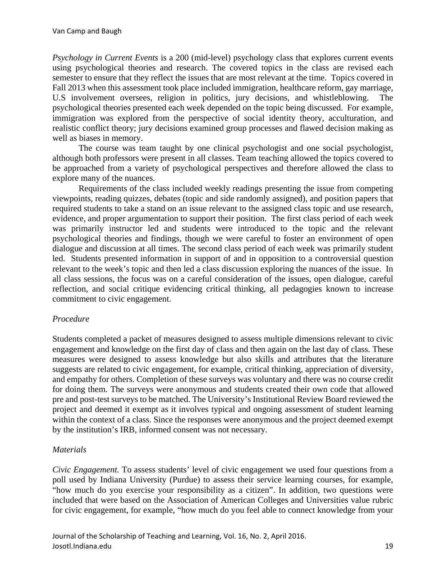*Psychology in Current Events* is a 200 (mid-level) psychology class that explores current events using psychological theories and research. The covered topics in the class are revised each semester to ensure that they reflect the issues that are most relevant at the time. Topics covered in Fall 2013 when this assessment took place included immigration, healthcare reform, gay marriage, U.S involvement oversees, religion in politics, jury decisions, and whistleblowing. The psychological theories presented each week depended on the topic being discussed. For example, immigration was explored from the perspective of social identity theory, acculturation, and realistic conflict theory; jury decisions examined group processes and flawed decision making as well as biases in memory.

The course was team taught by one clinical psychologist and one social psychologist, although both professors were present in all classes. Team teaching allowed the topics covered to be approached from a variety of psychological perspectives and therefore allowed the class to explore many of the nuances.

Requirements of the class included weekly readings presenting the issue from competing viewpoints, reading quizzes, debates (topic and side randomly assigned), and position papers that required students to take a stand on an issue relevant to the assigned class topic and use research, evidence, and proper argumentation to support their position. The first class period of each week was primarily instructor led and students were introduced to the topic and the relevant psychological theories and findings, though we were careful to foster an environment of open dialogue and discussion at all times. The second class period of each week was primarily student led. Students presented information in support of and in opposition to a controversial question relevant to the week's topic and then led a class discussion exploring the nuances of the issue. In all class sessions, the focus was on a careful consideration of the issues, open dialogue, careful reflection, and social critique evidencing critical thinking, all pedagogies known to increase commitment to civic engagement.

## *Procedure*

Students completed a packet of measures designed to assess multiple dimensions relevant to civic engagement and knowledge on the first day of class and then again on the last day of class. These measures were designed to assess knowledge but also skills and attributes that the literature suggests are related to civic engagement, for example, critical thinking, appreciation of diversity, and empathy for others. Completion of these surveys was voluntary and there was no course credit for doing them. The surveys were anonymous and students created their own code that allowed pre and post-test surveys to be matched. The University's Institutional Review Board reviewed the project and deemed it exempt as it involves typical and ongoing assessment of student learning within the context of a class. Since the responses were anonymous and the project deemed exempt by the institution's IRB, informed consent was not necessary.

# *Materials*

*Civic Engagement.* To assess students' level of civic engagement we used four questions from a poll used by Indiana University (Purdue) to assess their service learning courses, for example, "how much do you exercise your responsibility as a citizen". In addition, two questions were included that were based on the Association of American Colleges and Universities value rubric for civic engagement, for example, "how much do you feel able to connect knowledge from your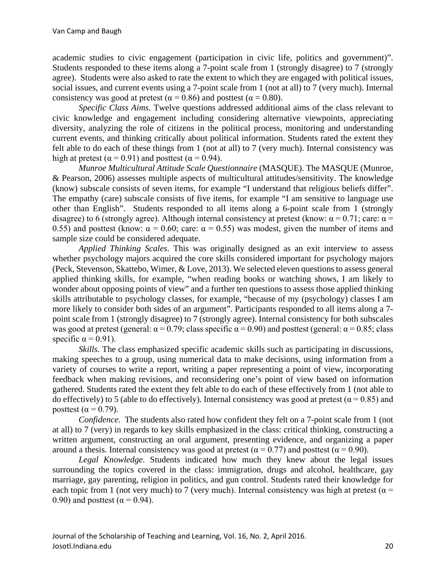academic studies to civic engagement (participation in civic life, politics and government)". Students responded to these items along a 7-point scale from 1 (strongly disagree) to 7 (strongly agree). Students were also asked to rate the extent to which they are engaged with political issues, social issues, and current events using a 7-point scale from 1 (not at all) to 7 (very much). Internal consistency was good at pretest ( $\alpha$  = 0.86) and posttest ( $\alpha$  = 0.80).

*Specific Class Aims*. Twelve questions addressed additional aims of the class relevant to civic knowledge and engagement including considering alternative viewpoints, appreciating diversity, analyzing the role of citizens in the political process, monitoring and understanding current events, and thinking critically about political information. Students rated the extent they felt able to do each of these things from 1 (not at all) to 7 (very much). Internal consistency was high at pretest ( $\alpha$  = 0.91) and posttest ( $\alpha$  = 0.94).

*Munroe Multicultural Attitude Scale Questionnaire* (MASQUE). The MASQUE (Munroe, & Pearson, 2006) assesses multiple aspects of multicultural attitudes/sensitivity. The knowledge (know) subscale consists of seven items, for example "I understand that religious beliefs differ". The empathy (care) subscale consists of five items, for example "I am sensitive to language use other than English". Students responded to all items along a 6-point scale from 1 (strongly disagree) to 6 (strongly agree). Although internal consistency at pretest (know:  $\alpha = 0.71$ ; care:  $\alpha =$ 0.55) and posttest (know:  $\alpha = 0.60$ ; care:  $\alpha = 0.55$ ) was modest, given the number of items and sample size could be considered adequate.

*Applied Thinking Scales*. This was originally designed as an exit interview to assess whether psychology majors acquired the core skills considered important for psychology majors (Peck, Stevenson, Skattebo, Wimer, & Love, 2013). We selected eleven questions to assess general applied thinking skills, for example, "when reading books or watching shows, I am likely to wonder about opposing points of view" and a further ten questions to assess those applied thinking skills attributable to psychology classes, for example, "because of my (psychology) classes I am more likely to consider both sides of an argument". Participants responded to all items along a 7 point scale from 1 (strongly disagree) to 7 (strongly agree). Internal consistency for both subscales was good at pretest (general:  $\alpha = 0.79$ ; class specific  $\alpha = 0.90$ ) and posttest (general:  $\alpha = 0.85$ ; class specific  $\alpha = 0.91$ ).

*Skills.* The class emphasized specific academic skills such as participating in discussions, making speeches to a group, using numerical data to make decisions, using information from a variety of courses to write a report, writing a paper representing a point of view, incorporating feedback when making revisions, and reconsidering one's point of view based on information gathered. Students rated the extent they felt able to do each of these effectively from 1 (not able to do effectively) to 5 (able to do effectively). Internal consistency was good at pretest ( $\alpha$  = 0.85) and posttest ( $\alpha$  = 0.79).

*Confidence.* The students also rated how confident they felt on a 7-point scale from 1 (not at all) to 7 (very) in regards to key skills emphasized in the class: critical thinking, constructing a written argument, constructing an oral argument, presenting evidence, and organizing a paper around a thesis. Internal consistency was good at pretest ( $\alpha$  = 0.77) and posttest ( $\alpha$  = 0.90).

*Legal Knowledge.* Students indicated how much they knew about the legal issues surrounding the topics covered in the class: immigration, drugs and alcohol, healthcare, gay marriage, gay parenting, religion in politics, and gun control. Students rated their knowledge for each topic from 1 (not very much) to 7 (very much). Internal consistency was high at pretest ( $\alpha$  = 0.90) and posttest ( $\alpha$  = 0.94).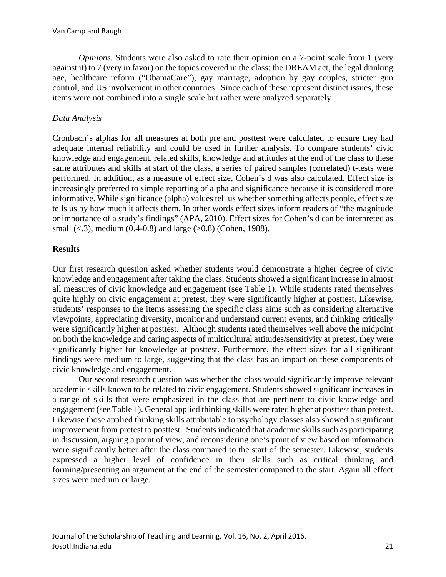*Opinions.* Students were also asked to rate their opinion on a 7-point scale from 1 (very against it) to 7 (very in favor) on the topics covered in the class: the DREAM act, the legal drinking age, healthcare reform ("ObamaCare"), gay marriage, adoption by gay couples, stricter gun control, and US involvement in other countries. Since each of these represent distinct issues, these items were not combined into a single scale but rather were analyzed separately.

# *Data Analysis*

Cronbach's alphas for all measures at both pre and posttest were calculated to ensure they had adequate internal reliability and could be used in further analysis. To compare students' civic knowledge and engagement, related skills, knowledge and attitudes at the end of the class to these same attributes and skills at start of the class, a series of paired samples (correlated) t-tests were performed. In addition, as a measure of effect size, Cohen's d was also calculated. Effect size is increasingly preferred to simple reporting of alpha and significance because it is considered more informative. While significance (alpha) values tell us whether something affects people, effect size tells us by how much it affects them. In other words effect sizes inform readers of "the magnitude or importance of a study's findings" (APA, 2010). Effect sizes for Cohen's d can be interpreted as small (<.3), medium (0.4-0.8) and large ( $>0.8$ ) (Cohen, 1988).

# **Results**

Our first research question asked whether students would demonstrate a higher degree of civic knowledge and engagement after taking the class. Students showed a significant increase in almost all measures of civic knowledge and engagement (see Table 1). While students rated themselves quite highly on civic engagement at pretest, they were significantly higher at posttest. Likewise, students' responses to the items assessing the specific class aims such as considering alternative viewpoints, appreciating diversity, monitor and understand current events, and thinking critically were significantly higher at posttest. Although students rated themselves well above the midpoint on both the knowledge and caring aspects of multicultural attitudes/sensitivity at pretest, they were significantly higher for knowledge at posttest. Furthermore, the effect sizes for all significant findings were medium to large, suggesting that the class has an impact on these components of civic knowledge and engagement.

Our second research question was whether the class would significantly improve relevant academic skills known to be related to civic engagement. Students showed significant increases in a range of skills that were emphasized in the class that are pertinent to civic knowledge and engagement (see Table 1). General applied thinking skills were rated higher at posttest than pretest. Likewise those applied thinking skills attributable to psychology classes also showed a significant improvement from pretest to posttest. Students indicated that academic skills such as participating in discussion, arguing a point of view, and reconsidering one's point of view based on information were significantly better after the class compared to the start of the semester. Likewise, students expressed a higher level of confidence in their skills such as critical thinking and forming/presenting an argument at the end of the semester compared to the start. Again all effect sizes were medium or large.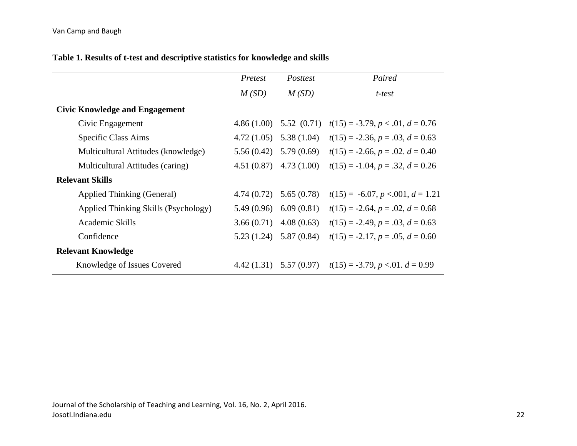|                                       | Pretest    | Posttest                  | Paired                               |
|---------------------------------------|------------|---------------------------|--------------------------------------|
|                                       | M(SD)      | M(SD)                     | t-test                               |
| <b>Civic Knowledge and Engagement</b> |            |                           |                                      |
| Civic Engagement                      | 4.86(1.00) | 5.52(0.71)                | $t(15) = -3.79, p < 0.01, d = 0.76$  |
| Specific Class Aims                   | 4.72(1.05) | 5.38(1.04)                | $t(15) = -2.36, p = .03, d = 0.63$   |
| Multicultural Attitudes (knowledge)   | 5.56(0.42) | 5.79(0.69)                | $t(15) = -2.66, p = .02, d = 0.40$   |
| Multicultural Attitudes (caring)      | 4.51(0.87) | 4.73(1.00)                | $t(15) = -1.04, p = .32, d = 0.26$   |
| <b>Relevant Skills</b>                |            |                           |                                      |
| Applied Thinking (General)            | 4.74(0.72) | 5.65(0.78)                | $t(15) = -6.07, p < 0.001, d = 1.21$ |
| Applied Thinking Skills (Psychology)  | 5.49(0.96) | 6.09(0.81)                | $t(15) = -2.64, p = .02, d = 0.68$   |
| Academic Skills                       | 3.66(0.71) | 4.08(0.63)                | $t(15) = -2.49, p = .03, d = 0.63$   |
| Confidence                            | 5.23(1.24) | 5.87(0.84)                | $t(15) = -2.17, p = .05, d = 0.60$   |
| <b>Relevant Knowledge</b>             |            |                           |                                      |
| Knowledge of Issues Covered           |            | $4.42(1.31)$ $5.57(0.97)$ | $t(15) = -3.79, p < 0.01, d = 0.99$  |

# **Table 1. Results of t-test and descriptive statistics for knowledge and skills**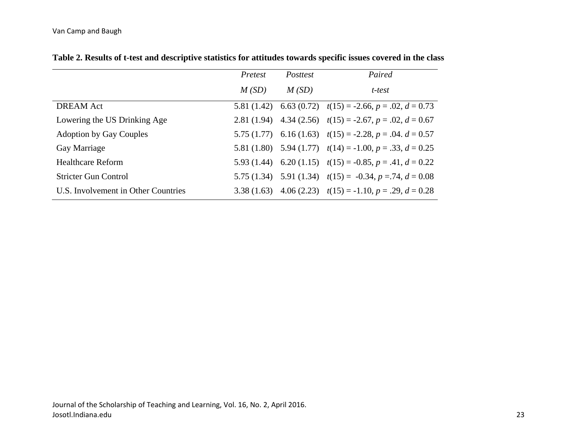|                                     | Pretest | <i>Posttest</i> | Paired                                                           |
|-------------------------------------|---------|-----------------|------------------------------------------------------------------|
|                                     | M(SD)   | M(SD)           | t-test                                                           |
| <b>DREAM</b> Act                    |         |                 | 5.81 (1.42) 6.63 (0.72) $t(15) = -2.66$ , $p = .02$ , $d = 0.73$ |
| Lowering the US Drinking Age        |         |                 | 2.81 (1.94) 4.34 (2.56) $t(15) = -2.67$ , $p = .02$ , $d = 0.67$ |
| <b>Adoption by Gay Couples</b>      |         |                 | 5.75 (1.77) 6.16 (1.63) $t(15) = -2.28$ , $p = .04$ . $d = 0.57$ |
| Gay Marriage                        |         |                 | 5.81 (1.80) 5.94 (1.77) $t(14) = -1.00, p = .33, d = 0.25$       |
| <b>Healthcare Reform</b>            |         |                 | 5.93 (1.44) 6.20 (1.15) $t(15) = -0.85$ , $p = .41$ , $d = 0.22$ |
| <b>Stricter Gun Control</b>         |         |                 | 5.75 (1.34) 5.91 (1.34) $t(15) = -0.34$ , $p = .74$ , $d = 0.08$ |
| U.S. Involvement in Other Countries |         |                 | 3.38 (1.63) 4.06 (2.23) $t(15) = -1.10$ , $p = .29$ , $d = 0.28$ |

**Table 2. Results of t-test and descriptive statistics for attitudes towards specific issues covered in the class**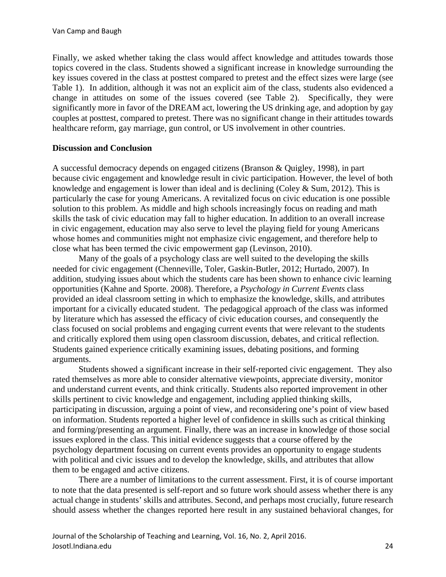Finally, we asked whether taking the class would affect knowledge and attitudes towards those topics covered in the class. Students showed a significant increase in knowledge surrounding the key issues covered in the class at posttest compared to pretest and the effect sizes were large (see Table 1). In addition, although it was not an explicit aim of the class, students also evidenced a change in attitudes on some of the issues covered (see Table 2). Specifically, they were significantly more in favor of the DREAM act, lowering the US drinking age, and adoption by gay couples at posttest, compared to pretest. There was no significant change in their attitudes towards healthcare reform, gay marriage, gun control, or US involvement in other countries.

## **Discussion and Conclusion**

A successful democracy depends on engaged citizens (Branson & Quigley, 1998), in part because civic engagement and knowledge result in civic participation. However, the level of both knowledge and engagement is lower than ideal and is declining (Coley & Sum, 2012). This is particularly the case for young Americans. A revitalized focus on civic education is one possible solution to this problem. As middle and high schools increasingly focus on reading and math skills the task of civic education may fall to higher education. In addition to an overall increase in civic engagement, education may also serve to level the playing field for young Americans whose homes and communities might not emphasize civic engagement, and therefore help to close what has been termed the civic empowerment gap (Levinson, 2010).

Many of the goals of a psychology class are well suited to the developing the skills needed for civic engagement (Chenneville, Toler, Gaskin-Butler, 2012; Hurtado, 2007). In addition, studying issues about which the students care has been shown to enhance civic learning opportunities (Kahne and Sporte. 2008). Therefore, a *Psychology in Current Events* class provided an ideal classroom setting in which to emphasize the knowledge, skills, and attributes important for a civically educated student. The pedagogical approach of the class was informed by literature which has assessed the efficacy of civic education courses, and consequently the class focused on social problems and engaging current events that were relevant to the students and critically explored them using open classroom discussion, debates, and critical reflection. Students gained experience critically examining issues, debating positions, and forming arguments.

Students showed a significant increase in their self-reported civic engagement. They also rated themselves as more able to consider alternative viewpoints, appreciate diversity, monitor and understand current events, and think critically. Students also reported improvement in other skills pertinent to civic knowledge and engagement, including applied thinking skills, participating in discussion, arguing a point of view, and reconsidering one's point of view based on information. Students reported a higher level of confidence in skills such as critical thinking and forming/presenting an argument. Finally, there was an increase in knowledge of those social issues explored in the class. This initial evidence suggests that a course offered by the psychology department focusing on current events provides an opportunity to engage students with political and civic issues and to develop the knowledge, skills, and attributes that allow them to be engaged and active citizens.

There are a number of limitations to the current assessment. First, it is of course important to note that the data presented is self-report and so future work should assess whether there is any actual change in students' skills and attributes. Second, and perhaps most crucially, future research should assess whether the changes reported here result in any sustained behavioral changes, for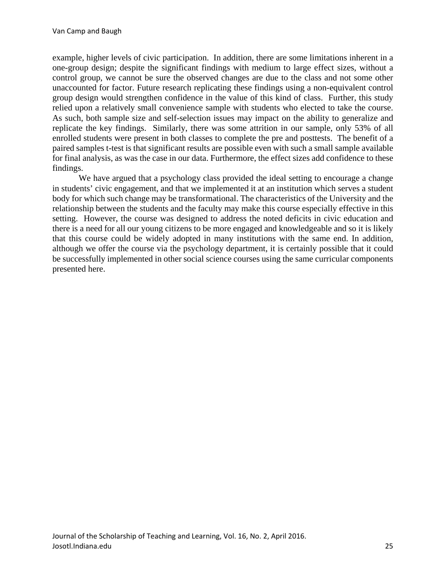example, higher levels of civic participation. In addition, there are some limitations inherent in a one-group design; despite the significant findings with medium to large effect sizes, without a control group, we cannot be sure the observed changes are due to the class and not some other unaccounted for factor. Future research replicating these findings using a non-equivalent control group design would strengthen confidence in the value of this kind of class. Further, this study relied upon a relatively small convenience sample with students who elected to take the course. As such, both sample size and self-selection issues may impact on the ability to generalize and replicate the key findings. Similarly, there was some attrition in our sample, only 53% of all enrolled students were present in both classes to complete the pre and posttests. The benefit of a paired samples t-test is that significant results are possible even with such a small sample available for final analysis, as was the case in our data. Furthermore, the effect sizes add confidence to these findings.

We have argued that a psychology class provided the ideal setting to encourage a change in students' civic engagement, and that we implemented it at an institution which serves a student body for which such change may be transformational. The characteristics of the University and the relationship between the students and the faculty may make this course especially effective in this setting. However, the course was designed to address the noted deficits in civic education and there is a need for all our young citizens to be more engaged and knowledgeable and so it is likely that this course could be widely adopted in many institutions with the same end. In addition, although we offer the course via the psychology department, it is certainly possible that it could be successfully implemented in other social science courses using the same curricular components presented here.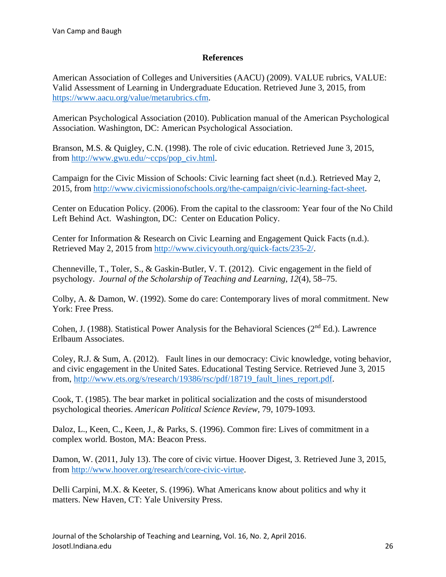### **References**

American Association of Colleges and Universities (AACU) (2009). VALUE rubrics, VALUE: Valid Assessment of Learning in Undergraduate Education. Retrieved June 3, 2015, from [https://www.aacu.org/value/metarubrics.cfm.](https://www.aacu.org/value/metarubrics.cfm)

American Psychological Association (2010). Publication manual of the American Psychological Association. Washington, DC: American Psychological Association.

Branson, M.S. & Quigley, C.N. (1998). The role of civic education. Retrieved June 3, 2015, from [http://www.gwu.edu/~ccps/pop\\_civ.html.](http://www.gwu.edu/%7Eccps/pop_civ.html)

Campaign for the Civic Mission of Schools: Civic learning fact sheet (n.d.)*.* Retrieved May 2, 2015, from [http://www.civicmissionofschools.org/the-campaign/civic-learning-fact-sheet.](http://www.civicmissionofschools.org/the-campaign/civic-learning-fact-sheet)

Center on Education Policy. (2006). From the capital to the classroom: Year four of the No Child Left Behind Act. Washington, DC: Center on Education Policy.

Center for Information & Research on Civic Learning and Engagement Quick Facts (n.d.). Retrieved May 2, 2015 from [http://www.civicyouth.org/quick-facts/235-2/.](http://www.civicyouth.org/quick-facts/235-2/)

Chenneville, T., Toler, S., & Gaskin-Butler, V. T. (2012). Civic engagement in the field of psychology. *Journal of the Scholarship of Teaching and Learning*, *12*(4), 58–75.

Colby, A. & Damon, W. (1992). Some do care: Contemporary lives of moral commitment. New York: Free Press.

[Cohen,](https://en.wikipedia.org/wiki/Jacob_Cohen_(statistician)) J. (1988). Statistical Power Analysis for the Behavioral Sciences (2nd Ed.). Lawrence Erlbaum Associates.

Coley, R.J. & Sum, A. (2012). Fault lines in our democracy: Civic knowledge, voting behavior, and civic engagement in the United Sates. Educational Testing Service. Retrieved June 3, 2015 from, [http://www.ets.org/s/research/19386/rsc/pdf/18719\\_fault\\_lines\\_report.pdf.](http://www.ets.org/s/research/19386/rsc/pdf/18719_fault_lines_report.pdf)

Cook, T. (1985). The bear market in political socialization and the costs of misunderstood psychological theories. *American Political Science Review*, 79, 1079-1093.

Daloz, L., Keen, C., Keen, J., & Parks, S. (1996). Common fire: Lives of commitment in a complex world. Boston, MA: Beacon Press.

Damon, W. (2011, July 13). The core of civic virtue. Hoover Digest, 3. Retrieved June 3, 2015, from [http://www.hoover.org/research/core-civic-virtue.](http://www.hoover.org/research/core-civic-virtue)

Delli Carpini, M.X. & Keeter, S. (1996). What Americans know about politics and why it matters. New Haven, CT: Yale University Press.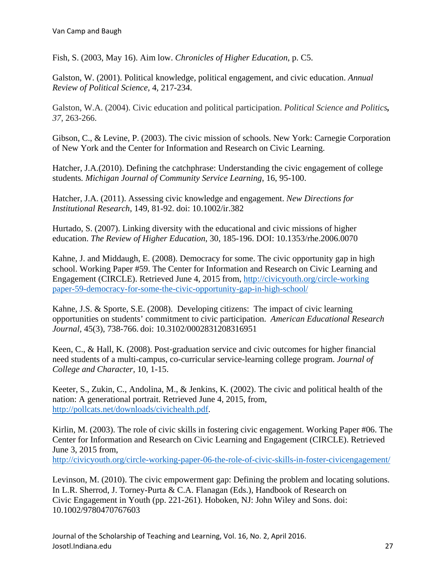Fish, S. (2003, May 16). Aim low. *Chronicles of Higher Education*, p. C5.

Galston, W. (2001). Political knowledge, political engagement, and civic education. *Annual Review of Political Science,* 4, 217-234.

Galston, W.A. (2004). Civic education and political participation. *Political Science and Politics, 37*, 263-266.

Gibson, C., & Levine, P. (2003). The civic mission of schools. New York: Carnegie Corporation of New York and the Center for Information and Research on Civic Learning.

Hatcher, J.A.(2010). Defining the catchphrase: Understanding the civic engagement of college students*. Michigan Journal of Community Service Learning*, 16, 95-100.

Hatcher, J.A. (2011). Assessing civic knowledge and engagement. *New Directions for Institutional Research*, 149, 81-92. doi: 10.1002/ir.382

Hurtado, S. (2007). Linking diversity with the educational and civic missions of higher education. *The Review of Higher Education*, 30, 185-196. DOI: 10.1353/rhe.2006.0070

Kahne, J. and Middaugh, E. (2008). Democracy for some. The civic opportunity gap in high school. Working Paper #59. The Center for Information and Research on Civic Learning and Engagement (CIRCLE). Retrieved June 4, 2015 from, [http://civicyouth.org/circle-working](http://civicyouth.org/circle-workingpaper-59-democracy-for-some-the-civic-opportunity-gap-in-high-school/) [paper-59-democracy-for-some-the-civic-opportunity-gap-in-high-school/](http://civicyouth.org/circle-workingpaper-59-democracy-for-some-the-civic-opportunity-gap-in-high-school/)

Kahne, J.S. & Sporte, S.E. (2008). Developing citizens: The impact of civic learning opportunities on students' commitment to civic participation. *American Educational Research Journal,* 45(3), 738-766. doi: 10.3102/0002831208316951

Keen, C., & Hall, K. (2008). Post-graduation service and civic outcomes for higher financial need students of a multi-campus, co-curricular service-learning college program. *Journal of College and Character,* 10, 1-15.

Keeter, S., Zukin, C., Andolina, M., & Jenkins, K. (2002). The civic and political health of the nation: A generational portrait. Retrieved June 4, 2015, from, [http://pollcats.net/downloads/civichealth.pdf.](http://pollcats.net/downloads/civichealth.pdf)

Kirlin, M. (2003). The role of civic skills in fostering civic engagement. Working Paper #06. The Center for Information and Research on Civic Learning and Engagement (CIRCLE). Retrieved June 3, 2015 from,

<http://civicyouth.org/circle-working-paper-06-the-role-of-civic-skills-in-foster-civicengagement/>

Levinson, M. (2010). The civic empowerment gap: Defining the problem and locating solutions. In L.R. Sherrod, J. Torney-Purta & C.A. Flanagan (Eds.), Handbook of Research on Civic Engagement in Youth (pp. 221-261). Hoboken, NJ: John Wiley and Sons. doi: 10.1002/9780470767603